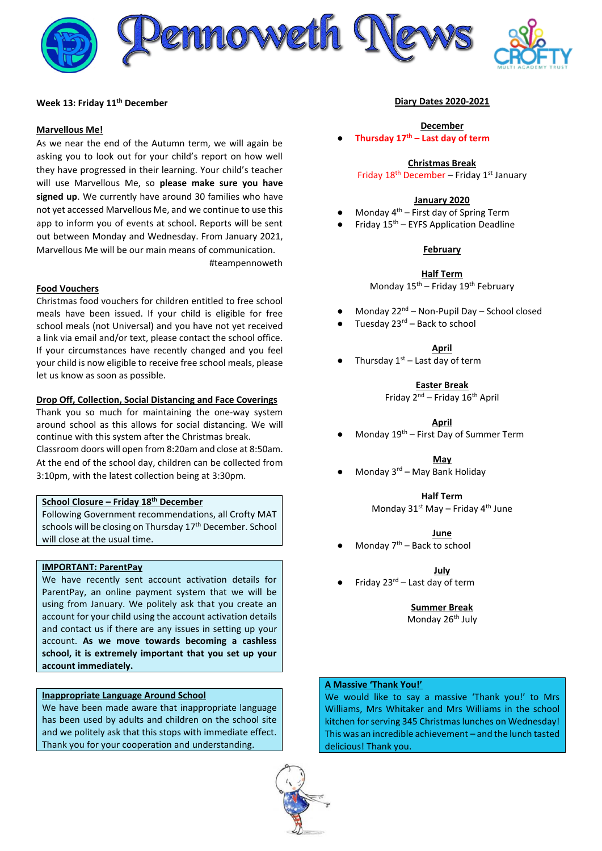

#### **Week 13: Friday 11th December**

#### **Marvellous Me!**

As we near the end of the Autumn term, we will again be asking you to look out for your child's report on how well they have progressed in their learning. Your child's teacher will use Marvellous Me, so **please make sure you have signed up**. We currently have around 30 families who have not yet accessed Marvellous Me, and we continue to use this app to inform you of events at school. Reports will be sent out between Monday and Wednesday. From January 2021, Marvellous Me will be our main means of communication.

#teampennoweth

#### **Food Vouchers**

Christmas food vouchers for children entitled to free school meals have been issued. If your child is eligible for free school meals (not Universal) and you have not yet received a link via email and/or text, please contact the school office. If your circumstances have recently changed and you feel your child is now eligible to receive free school meals, please let us know as soon as possible.

#### **Drop Off, Collection, Social Distancing and Face Coverings**

Thank you so much for maintaining the one-way system around school as this allows for social distancing. We will continue with this system after the Christmas break. Classroom doors will open from 8:20am and close at 8:50am.

At the end of the school day, children can be collected from 3:10pm, with the latest collection being at 3:30pm.

## **School Closure – Friday 18th December**

Following Government recommendations, all Crofty MAT schools will be closing on Thursday 17<sup>th</sup> December. School will close at the usual time.

### **IMPORTANT: ParentPay**

We have recently sent account activation details for ParentPay, an online payment system that we will be using from January. We politely ask that you create an account for your child using the account activation details and contact us if there are any issues in setting up your account. **As we move towards becoming a cashless school, it is extremely important that you set up your account immediately.**

#### **Inappropriate Language Around School**

We have been made aware that inappropriate language has been used by adults and children on the school site and we politely ask that this stops with immediate effect. Thank you for your cooperation and understanding.



#### **Diary Dates 2020-2021**

#### **December** ● **Thursday 17 th – Last day of term**

#### **Christmas Break**

Friday  $18^{th}$  December – Friday  $1^{st}$  January

#### **January 2020**

- Monday  $4<sup>th</sup>$  First day of Spring Term
- Friday  $15<sup>th</sup>$  EYFS Application Deadline

#### **February**

**Half Term** Monday 15th – Friday 19th February

- Monday 22<sup>nd</sup> Non-Pupil Day School closed
- Tuesday  $23^{rd}$  Back to school
	- **April**
- Thursday  $1<sup>st</sup>$  Last day of term

**Easter Break**

Friday  $2^{nd}$  – Friday  $16^{th}$  April

**April**

Monday  $19<sup>th</sup>$  – First Day of Summer Term

**May**

Monday  $3<sup>rd</sup>$  – May Bank Holiday

**Half Term**

Monday  $31^{st}$  May – Friday  $4^{th}$  June

**June**

Monday  $7<sup>th</sup>$  – Back to school

**July**

Friday  $23^{rd}$  – Last day of term

**Summer Break** Monday 26<sup>th</sup> July

# **A Massive 'Thank You!'**

We would like to say a massive 'Thank you!' to Mrs Williams, Mrs Whitaker and Mrs Williams in the school kitchen for serving 345 Christmas lunches on Wednesday! This was an incredible achievement – and the lunch tasted delicious! Thank you.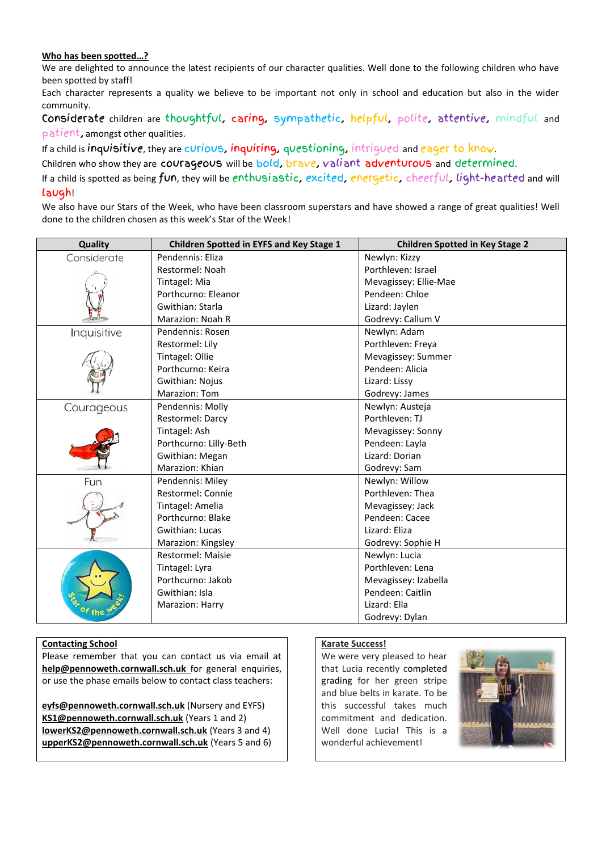# **Who has been spotted…?**

We are delighted to announce the latest recipients of our character qualities. Well done to the following children who have been spotted by staff!

Each character represents a quality we believe to be important not only in school and education but also in the wider community.

Considerate children are thoughtful, caring, sympathetic, helpful, polite, attentive, mindful and patient, amongst other qualities.

If a child is inquisitive, they are curious, inquiring, questioning, intrigued and eager to know.

Children who show they are courageous will be bold, brave, valiant adventurous and determined.

If a child is spotted as being fun, they will be enthusiastic, excited, energetic, cheerful, light-hearted and will laugh!

We also have our Stars of the Week, who have been classroom superstars and have showed a range of great qualities! Well done to the children chosen as this week's Star of the Week!

| Quality     | <b>Children Spotted in EYFS and Key Stage 1</b> | <b>Children Spotted in Key Stage 2</b> |
|-------------|-------------------------------------------------|----------------------------------------|
| Considerate | Pendennis: Eliza                                | Newlyn: Kizzy                          |
|             | Restormel: Noah                                 | Porthleven: Israel                     |
|             | Tintagel: Mia                                   | Mevagissey: Ellie-Mae                  |
|             | Porthcurno: Eleanor                             | Pendeen: Chloe                         |
|             | Gwithian: Starla                                | Lizard: Jaylen                         |
|             | Marazion: Noah R                                | Godrevy: Callum V                      |
| Inquisitive | Pendennis: Rosen                                | Newlyn: Adam                           |
|             | Restormel: Lily                                 | Porthleven: Freya                      |
|             | Tintagel: Ollie                                 | Mevagissey: Summer                     |
|             | Porthcurno: Keira                               | Pendeen: Alicia                        |
|             | Gwithian: Nojus                                 | Lizard: Lissy                          |
|             | Marazion: Tom                                   | Godrevy: James                         |
| Courageous  | Pendennis: Molly                                | Newlyn: Austeja                        |
|             | Restormel: Darcy                                | Porthleven: TJ                         |
|             | Tintagel: Ash                                   | Mevagissey: Sonny                      |
|             | Porthcurno: Lilly-Beth                          | Pendeen: Layla                         |
|             | Gwithian: Megan                                 | Lizard: Dorian                         |
|             | Marazion: Khian                                 | Godrevy: Sam                           |
| Fun         | Pendennis: Miley                                | Newlyn: Willow                         |
|             | Restormel: Connie                               | Porthleven: Thea                       |
|             | Tintagel: Amelia                                | Mevagissey: Jack                       |
|             | Porthcurno: Blake                               | Pendeen: Cacee                         |
|             | Gwithian: Lucas                                 | Lizard: Eliza                          |
|             | Marazion: Kingsley                              | Godrevy: Sophie H                      |
|             | Restormel: Maisie                               | Newlyn: Lucia                          |
|             | Tintagel: Lyra                                  | Porthleven: Lena                       |
|             | Porthcurno: Jakob                               | Mevagissey: Izabella                   |
|             | Gwithian: Isla                                  | Pendeen: Caitlin                       |
|             | Marazion: Harry                                 | Lizard: Ella                           |
|             |                                                 | Godrevy: Dylan                         |

### **Contacting School**

Please remember that you can contact us via email at **[help@pennoweth.cornwall.sch.uk](mailto:help@pennoweth.cornwall.sch.uk)** for general enquiries, or use the phase emails below to contact class teachers:

**[eyfs@pennoweth.cornwall.sch.uk](mailto:eyfs@pennoweth.cornwall.sch.uk)** (Nursery and EYFS) **[KS1@pennoweth.cornwall.sch.uk](mailto:KS1@pennoweth.cornwall.sch.uk)** (Years 1 and 2) **[lowerKS2@pennoweth.cornwall.sch.uk](mailto:lowerKS2@pennoweth.cornwall.sch.uk)** (Years 3 and 4) **[upperKS2@pennoweth.cornwall.sch.uk](mailto:upperKS2@pennoweth.cornwall.sch.uk)** (Years 5 and 6)

### **Karate Success!**

We were very pleased to hear that Lucia recently completed grading for her green stripe and blue belts in karate. To be this successful takes much commitment and dedication. Well done Lucia! This is a wonderful achievement!

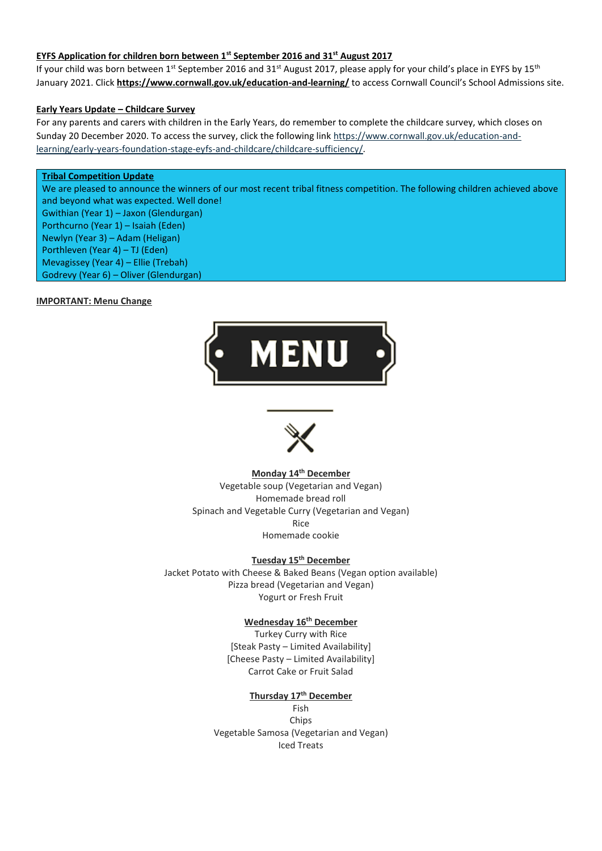# **EYFS Application for children born between 1st September 2016 and 31st August 2017**

If your child was born between 1<sup>st</sup> September 2016 and 31<sup>st</sup> August 2017, please apply for your child's place in EYFS by 15<sup>th</sup> January 2021. Click **<https://www.cornwall.gov.uk/education-and-learning/>** to access Cornwall Council's School Admissions site.

### **Early Years Update – Childcare Survey**

For any parents and carers with children in the Early Years, do remember to complete the childcare survey, which closes on Sunday 20 December 2020. To access the survey, click the following link [https://www.cornwall.gov.uk/education-and](https://www.cornwall.gov.uk/education-and-learning/early-years-foundation-stage-eyfs-and-childcare/childcare-sufficiency/)[learning/early-years-foundation-stage-eyfs-and-childcare/childcare-sufficiency/.](https://www.cornwall.gov.uk/education-and-learning/early-years-foundation-stage-eyfs-and-childcare/childcare-sufficiency/)

# **Tribal Competition Update**

We are pleased to announce the winners of our most recent tribal fitness competition. The following children achieved above and beyond what was expected. Well done!

Gwithian (Year 1) – Jaxon (Glendurgan) Porthcurno (Year 1) – Isaiah (Eden) Newlyn (Year 3) – Adam (Heligan) Porthleven (Year 4) – TJ (Eden) Mevagissey (Year 4) – Ellie (Trebah) Godrevy (Year 6) – Oliver (Glendurgan)

#### **IMPORTANT: Menu Change**





# **Monday 14th December**

Vegetable soup (Vegetarian and Vegan) Homemade bread roll Spinach and Vegetable Curry (Vegetarian and Vegan) Rice Homemade cookie

# **Tuesday 15th December**

Jacket Potato with Cheese & Baked Beans (Vegan option available) Pizza bread (Vegetarian and Vegan) Yogurt or Fresh Fruit

## **Wednesday 16th December**

Turkey Curry with Rice [Steak Pasty – Limited Availability] [Cheese Pasty – Limited Availability] Carrot Cake or Fruit Salad

## **Thursday 17th December**

Fish Chips Vegetable Samosa (Vegetarian and Vegan) Iced Treats